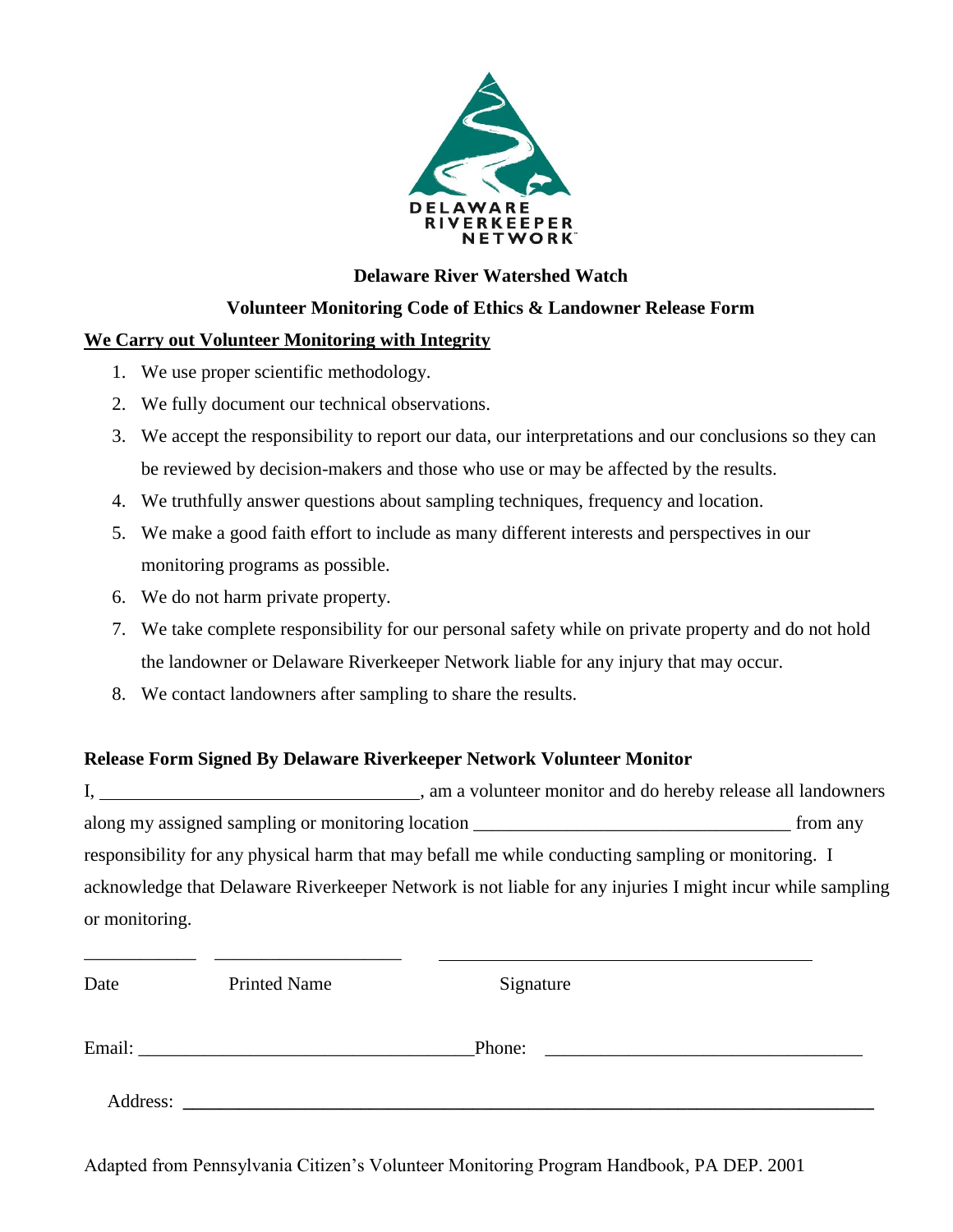

### **Delaware River Watershed Watch**

#### **Volunteer Monitoring Code of Ethics & Landowner Release Form**

#### **We Carry out Volunteer Monitoring with Integrity**

- 1. We use proper scientific methodology.
- 2. We fully document our technical observations.
- 3. We accept the responsibility to report our data, our interpretations and our conclusions so they can be reviewed by decision-makers and those who use or may be affected by the results.
- 4. We truthfully answer questions about sampling techniques, frequency and location.
- 5. We make a good faith effort to include as many different interests and perspectives in our monitoring programs as possible.
- 6. We do not harm private property.

\_\_\_\_\_\_\_\_\_\_\_\_ \_\_\_\_\_\_\_\_\_\_\_\_\_\_\_\_\_\_\_\_

- 7. We take complete responsibility for our personal safety while on private property and do not hold the landowner or Delaware Riverkeeper Network liable for any injury that may occur.
- 8. We contact landowners after sampling to share the results.

## **Release Form Signed By Delaware Riverkeeper Network Volunteer Monitor**

I, , am a volunteer monitor and do hereby release all landowners along my assigned sampling or monitoring location \_\_\_\_\_\_\_\_\_\_\_\_\_\_\_\_\_\_\_\_\_\_\_\_\_\_\_\_\_\_\_\_\_\_ from any responsibility for any physical harm that may befall me while conducting sampling or monitoring. I acknowledge that Delaware Riverkeeper Network is not liable for any injuries I might incur while sampling or monitoring.

| Date     | <b>Printed Name</b> | Signature |
|----------|---------------------|-----------|
| Email:   |                     | Phone:    |
| Address: |                     |           |

Adapted from Pennsylvania Citizen's Volunteer Monitoring Program Handbook, PA DEP. 2001